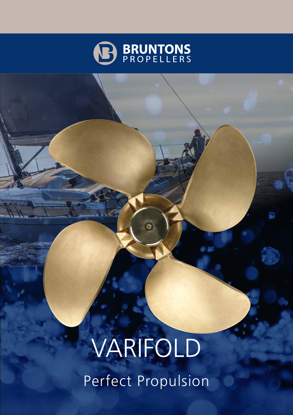

# VARIFOLD Perfect Propulsion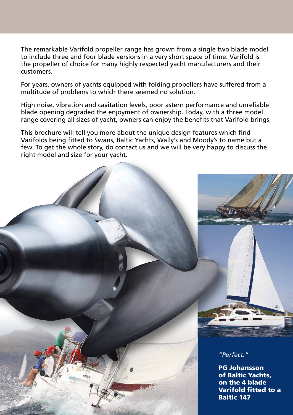The remarkable Varifold propeller range has grown from a single two blade model to include three and four blade versions in a very short space of time. Varifold is the propeller of choice for many highly respected yacht manufacturers and their customers.

For years, owners of yachts equipped with folding propellers have suffered from a multitude of problems to which there seemed no solution.

High noise, vibration and cavitation levels, poor astern performance and unreliable blade opening degraded the enjoyment of ownership. Today, with a three model range covering all sizes of yacht, owners can enjoy the benefits that Varifold brings.

This brochure will tell you more about the unique design features which find Varifolds being fitted to Swans, Baltic Yachts, Wally's and Moody's to name but a few. To get the whole story, do contact us and we will be very happy to discuss the right model and size for your yacht.

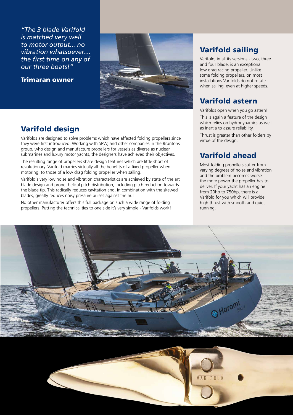*"The 3 blade Varifold is matched very well to motor output... no vibration whatsoever.... the first time on any of our three boats!"*





## Varifold design

Varifolds are designed to solve problems which have affected folding propellers since they were first introduced. Working with SPW, and other companies in the Bruntons group, who design and manufacture propellers for vessels as diverse as nuclear submarines and luxury motor yachts, the designers have achieved their objectives.

The resulting range of propellers share design features which are little short of revolutionary. Varifold marries virtually all the benefits of a fixed propeller when motoring, to those of a low drag folding propeller when sailing.

Varifold's very low noise and vibration characteristics are achieved by state of the art blade design and proper helical pitch distribution, including pitch reduction towards the blade tip. This radically reduces cavitation and, in combination with the skewed blades, greatly reduces noisy pressure pulses against the hull.

No other manufacturer offers this full package on such a wide range of folding propellers. Putting the technicalities to one side it's very simple - Varifolds work!

## Varifold sailing

Varifold, in all its versions - two, three and four blade, is an exceptional low drag racing propeller. Unlike some folding propellers, on most installations Varifolds do not rotate when sailing, even at higher speeds.

## Varifold astern

Varifolds open when you go astern! This is again a feature of the design which relies on hydrodynamics as well as inertia to assure reliability.

Thrust is greater than other folders by virtue of the design.

## Varifold ahead

Most folding propellers suffer from varying degrees of noise and vibration and the problem becomes worse the more power the propeller has to deliver. If your yacht has an engine from 20hp to 750hp, there is a Varifold for you which will provide high thrust with smooth and quiet running.